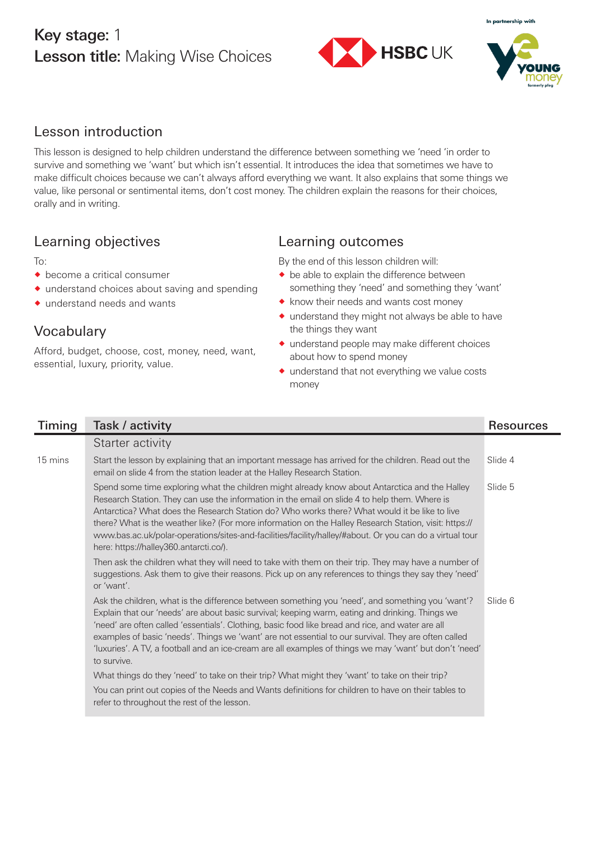## Key stage: 1 Lesson title: Making Wise Choices



In partnership with

### Lesson introduction

This lesson is designed to help children understand the difference between something we 'need 'in order to survive and something we 'want' but which isn't essential. It introduces the idea that sometimes we have to make difficult choices because we can't always afford everything we want. It also explains that some things we value, like personal or sentimental items, don't cost money. The children explain the reasons for their choices, orally and in writing.

### Learning objectives

 $To:$ 

- $\bullet$  become a critical consumer
- ® understand choices about saving and spending
- $\bullet$  understand needs and wants

# Learning outcomes

By the end of this lesson children will:

- $\bullet$  be able to explain the difference between something they 'need' and something they 'want'
- ® know their needs and wants cost money
- $\bullet$  understand they might not always be able to have the things they want
- ® understand people may make different choices about how to spend money
- $\bullet$  understand that not everything we value costs money

| Timing  | Task / activity                                                                                                                                                                                                                                                                                                                                                                                                                                                                                                                                                  | <b>Resources</b> |
|---------|------------------------------------------------------------------------------------------------------------------------------------------------------------------------------------------------------------------------------------------------------------------------------------------------------------------------------------------------------------------------------------------------------------------------------------------------------------------------------------------------------------------------------------------------------------------|------------------|
|         | Starter activity                                                                                                                                                                                                                                                                                                                                                                                                                                                                                                                                                 |                  |
| 15 mins | Start the lesson by explaining that an important message has arrived for the children. Read out the<br>email on slide 4 from the station leader at the Halley Research Station.                                                                                                                                                                                                                                                                                                                                                                                  | Slide 4          |
|         | Spend some time exploring what the children might already know about Antarctica and the Halley<br>Research Station. They can use the information in the email on slide 4 to help them. Where is<br>Antarctica? What does the Research Station do? Who works there? What would it be like to live<br>there? What is the weather like? (For more information on the Halley Research Station, visit: https://<br>www.bas.ac.uk/polar-operations/sites-and-facilities/facility/halley/#about. Or you can do a virtual tour<br>here: https://halley360.antarcti.co/). | Slide 5          |
|         | Then ask the children what they will need to take with them on their trip. They may have a number of<br>suggestions. Ask them to give their reasons. Pick up on any references to things they say they 'need'<br>or 'want'.                                                                                                                                                                                                                                                                                                                                      |                  |
|         | Ask the children, what is the difference between something you 'need', and something you 'want'?<br>Explain that our 'needs' are about basic survival; keeping warm, eating and drinking. Things we<br>'need' are often called 'essentials'. Clothing, basic food like bread and rice, and water are all<br>examples of basic 'needs'. Things we 'want' are not essential to our survival. They are often called<br>'luxuries'. A TV, a football and an ice-cream are all examples of things we may 'want' but don't 'need'<br>to survive.                       | Slide 6          |
|         | What things do they 'need' to take on their trip? What might they 'want' to take on their trip?                                                                                                                                                                                                                                                                                                                                                                                                                                                                  |                  |
|         | You can print out copies of the Needs and Wants definitions for children to have on their tables to<br>refer to throughout the rest of the lesson.                                                                                                                                                                                                                                                                                                                                                                                                               |                  |

### Vocabulary

Afford, budget, choose, cost, money, need, want, essential, luxury, priority, value.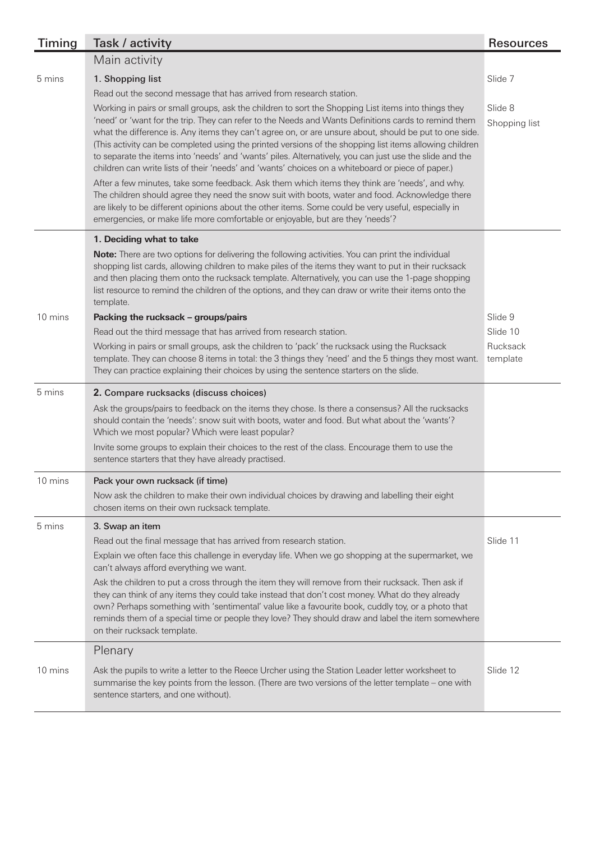| <b>Timing</b> | Task / activity                                                                                                                                                                                                                                                                                                                                                                                                                                                                                                                                                                                                                                  | <b>Resources</b>         |
|---------------|--------------------------------------------------------------------------------------------------------------------------------------------------------------------------------------------------------------------------------------------------------------------------------------------------------------------------------------------------------------------------------------------------------------------------------------------------------------------------------------------------------------------------------------------------------------------------------------------------------------------------------------------------|--------------------------|
|               | Main activity                                                                                                                                                                                                                                                                                                                                                                                                                                                                                                                                                                                                                                    |                          |
| 5 mins        | 1. Shopping list<br>Read out the second message that has arrived from research station.                                                                                                                                                                                                                                                                                                                                                                                                                                                                                                                                                          | Slide 7                  |
|               | Working in pairs or small groups, ask the children to sort the Shopping List items into things they<br>'need' or 'want for the trip. They can refer to the Needs and Wants Definitions cards to remind them<br>what the difference is. Any items they can't agree on, or are unsure about, should be put to one side.<br>(This activity can be completed using the printed versions of the shopping list items allowing children<br>to separate the items into 'needs' and 'wants' piles. Alternatively, you can just use the slide and the<br>children can write lists of their 'needs' and 'wants' choices on a whiteboard or piece of paper.) | Slide 8<br>Shopping list |
|               | After a few minutes, take some feedback. Ask them which items they think are 'needs', and why.<br>The children should agree they need the snow suit with boots, water and food. Acknowledge there<br>are likely to be different opinions about the other items. Some could be very useful, especially in<br>emergencies, or make life more comfortable or enjoyable, but are they 'needs'?                                                                                                                                                                                                                                                       |                          |
|               | 1. Deciding what to take                                                                                                                                                                                                                                                                                                                                                                                                                                                                                                                                                                                                                         |                          |
|               | Note: There are two options for delivering the following activities. You can print the individual<br>shopping list cards, allowing children to make piles of the items they want to put in their rucksack<br>and then placing them onto the rucksack template. Alternatively, you can use the 1-page shopping<br>list resource to remind the children of the options, and they can draw or write their items onto the<br>template.                                                                                                                                                                                                               |                          |
| 10 mins       | Packing the rucksack - groups/pairs                                                                                                                                                                                                                                                                                                                                                                                                                                                                                                                                                                                                              | Slide 9                  |
|               | Read out the third message that has arrived from research station.                                                                                                                                                                                                                                                                                                                                                                                                                                                                                                                                                                               | Slide 10                 |
|               | Working in pairs or small groups, ask the children to 'pack' the rucksack using the Rucksack<br>template. They can choose 8 items in total: the 3 things they 'need' and the 5 things they most want.<br>They can practice explaining their choices by using the sentence starters on the slide.                                                                                                                                                                                                                                                                                                                                                 | Rucksack<br>template     |
| 5 mins        | 2. Compare rucksacks (discuss choices)                                                                                                                                                                                                                                                                                                                                                                                                                                                                                                                                                                                                           |                          |
|               | Ask the groups/pairs to feedback on the items they chose. Is there a consensus? All the rucksacks<br>should contain the 'needs': snow suit with boots, water and food. But what about the 'wants'?<br>Which we most popular? Which were least popular?                                                                                                                                                                                                                                                                                                                                                                                           |                          |
|               | Invite some groups to explain their choices to the rest of the class. Encourage them to use the<br>sentence starters that they have already practised.                                                                                                                                                                                                                                                                                                                                                                                                                                                                                           |                          |
| 10 mins       | Pack your own rucksack (if time)                                                                                                                                                                                                                                                                                                                                                                                                                                                                                                                                                                                                                 |                          |
|               | Now ask the children to make their own individual choices by drawing and labelling their eight<br>chosen items on their own rucksack template.                                                                                                                                                                                                                                                                                                                                                                                                                                                                                                   |                          |
| 5 mins        | 3. Swap an item                                                                                                                                                                                                                                                                                                                                                                                                                                                                                                                                                                                                                                  |                          |
|               | Read out the final message that has arrived from research station.                                                                                                                                                                                                                                                                                                                                                                                                                                                                                                                                                                               | Slide 11                 |
|               | Explain we often face this challenge in everyday life. When we go shopping at the supermarket, we<br>can't always afford everything we want.                                                                                                                                                                                                                                                                                                                                                                                                                                                                                                     |                          |
|               | Ask the children to put a cross through the item they will remove from their rucksack. Then ask if<br>they can think of any items they could take instead that don't cost money. What do they already<br>own? Perhaps something with 'sentimental' value like a favourite book, cuddly toy, or a photo that<br>reminds them of a special time or people they love? They should draw and label the item somewhere<br>on their rucksack template.                                                                                                                                                                                                  |                          |
|               | Plenary                                                                                                                                                                                                                                                                                                                                                                                                                                                                                                                                                                                                                                          |                          |
| 10 mins       | Ask the pupils to write a letter to the Reece Urcher using the Station Leader letter worksheet to<br>summarise the key points from the lesson. (There are two versions of the letter template – one with<br>sentence starters, and one without).                                                                                                                                                                                                                                                                                                                                                                                                 | Slide 12                 |